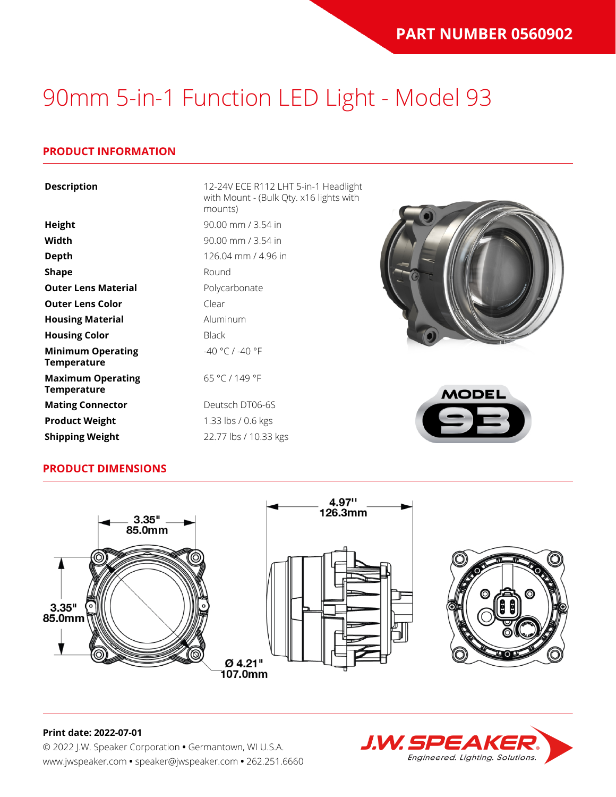### **PRODUCT INFORMATION**

| <b>Description</b>                             | 12-24V ECE R112 LHT 5-in-1 Headlight<br>with Mount - (Bulk Qty. x16 lights with<br>mounts) |
|------------------------------------------------|--------------------------------------------------------------------------------------------|
| Height                                         | 90.00 mm / 3.54 in                                                                         |
| Width                                          | 90.00 mm / 3.54 in                                                                         |
| <b>Depth</b>                                   | 126.04 mm / 4.96 in                                                                        |
| <b>Shape</b>                                   | Round                                                                                      |
| <b>Outer Lens Material</b>                     | Polycarbonate                                                                              |
| <b>Outer Lens Color</b>                        | Clear                                                                                      |
| <b>Housing Material</b>                        | Aluminum                                                                                   |
| <b>Housing Color</b>                           | <b>Black</b>                                                                               |
| <b>Minimum Operating</b><br><b>Temperature</b> | -40 °C / -40 °F                                                                            |
| <b>Maximum Operating</b><br><b>Temperature</b> | 65 °C / 149 °F<br><b>MODEL</b>                                                             |
| <b>Mating Connector</b>                        | Deutsch DT06-6S                                                                            |
| <b>Product Weight</b>                          | 1.33 lbs / 0.6 kgs                                                                         |

### **PRODUCT DIMENSIONS**

**Shipping Weight** 22.77 lbs / 10.33 kgs





# **J.W. SPEAK** Engineered. Lighting. Solutions.

#### **Print date: 2022-07-01**

© 2022 J.W. Speaker Corporation **•** Germantown, WI U.S.A. www.jwspeaker.com **•** speaker@jwspeaker.com **•** 262.251.6660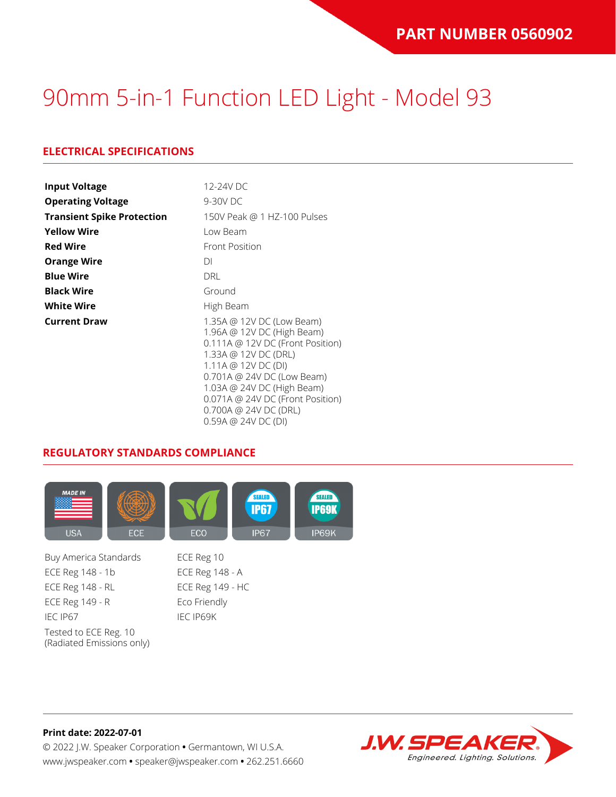### **ELECTRICAL SPECIFICATIONS**

| <b>Input Voltage</b>              | 12-24V DC                                                                                                                                                                                                                                                                                |
|-----------------------------------|------------------------------------------------------------------------------------------------------------------------------------------------------------------------------------------------------------------------------------------------------------------------------------------|
| <b>Operating Voltage</b>          | 9-30V DC                                                                                                                                                                                                                                                                                 |
| <b>Transient Spike Protection</b> | 150V Peak @ 1 HZ-100 Pulses                                                                                                                                                                                                                                                              |
| <b>Yellow Wire</b>                | Low Beam                                                                                                                                                                                                                                                                                 |
| <b>Red Wire</b>                   | <b>Front Position</b>                                                                                                                                                                                                                                                                    |
| <b>Orange Wire</b>                | DΙ                                                                                                                                                                                                                                                                                       |
| <b>Blue Wire</b>                  | <b>DRL</b>                                                                                                                                                                                                                                                                               |
| <b>Black Wire</b>                 | Ground                                                                                                                                                                                                                                                                                   |
| <b>White Wire</b>                 | High Beam                                                                                                                                                                                                                                                                                |
| <b>Current Draw</b>               | 1.35A @ 12V DC (Low Beam)<br>1.96A @ 12V DC (High Beam)<br>0.111A @ 12V DC (Front Position)<br>1.33A @ 12V DC (DRL)<br>1.11A @ 12V DC (DI)<br>0.701A @ 24V DC (Low Beam)<br>1.03A @ 24V DC (High Beam)<br>0.071A @ 24V DC (Front Position)<br>0.700A @ 24V DC (DRL)<br>0.59A @ 24VDC(DI) |

#### **REGULATORY STANDARDS COMPLIANCE**



Buy America Standards ECE Reg 10 ECE Reg 148 - 1b ECE Reg 148 - A ECE Reg 148 - RL ECE Reg 149 - HC ECE Reg 149 - R Eco Friendly IEC IP67 IEC IP69K Tested to ECE Reg. 10 (Radiated Emissions only)



#### **Print date: 2022-07-01** © 2022 J.W. Speaker Corporation **•** Germantown, WI U.S.A. www.jwspeaker.com **•** speaker@jwspeaker.com **•** 262.251.6660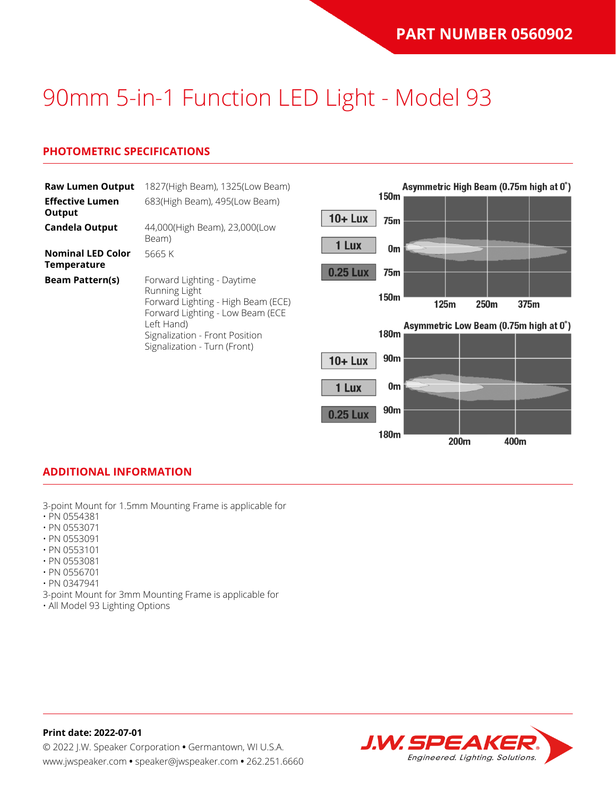### **PHOTOMETRIC SPECIFICATIONS**

| <b>Raw Lumen Output</b>                 | 1827(High Beam), 1325(Low Beam)                                                                                                                                       |                                    |      |      | Asymmetric High Beam (0.75m high at 0°)        |
|-----------------------------------------|-----------------------------------------------------------------------------------------------------------------------------------------------------------------------|------------------------------------|------|------|------------------------------------------------|
| <b>Effective Lumen</b><br>Output        | 683(High Beam), 495(Low Beam)                                                                                                                                         | 150m<br>$10 +$ Lux                 |      |      |                                                |
| <b>Candela Output</b>                   | 44,000(High Beam), 23,000(Low<br>Beam)                                                                                                                                | 75m                                |      |      |                                                |
| <b>Nominal LED Color</b><br>Temperature | 5665 K                                                                                                                                                                | 1 Lux<br>0m                        |      |      |                                                |
| <b>Beam Pattern(s)</b>                  | Forward Lighting - Daytime<br>Running Light<br>Forward Lighting - High Beam (ECE)<br>Forward Lighting - Low Beam (ECE<br>Left Hand)<br>Signalization - Front Position | <b>0.25 Lux</b><br>75m<br>150m     |      |      |                                                |
|                                         |                                                                                                                                                                       | 180m                               | 125m | 250m | 375m<br>Asymmetric Low Beam (0.75m high at 0°) |
|                                         | Signalization - Turn (Front)                                                                                                                                          | 90 <sub>m</sub><br>$10 + Lux$      |      |      |                                                |
|                                         |                                                                                                                                                                       | 0m<br>1 Lux                        |      |      |                                                |
|                                         |                                                                                                                                                                       | 90 <sub>m</sub><br><b>0.25 Lux</b> |      |      |                                                |

180m

#### **ADDITIONAL INFORMATION**

3-point Mount for 1.5mm Mounting Frame is applicable for

- PN 0554381
- PN 0553071
- PN 0553091
- PN 0553101 • PN 0553081
- PN 0556701
- PN 0347941
- 3-point Mount for 3mm Mounting Frame is applicable for
- All Model 93 Lighting Options



200<sub>m</sub>

400m

#### **Print date: 2022-07-01** © 2022 J.W. Speaker Corporation **•** Germantown, WI U.S.A. www.jwspeaker.com **•** speaker@jwspeaker.com **•** 262.251.6660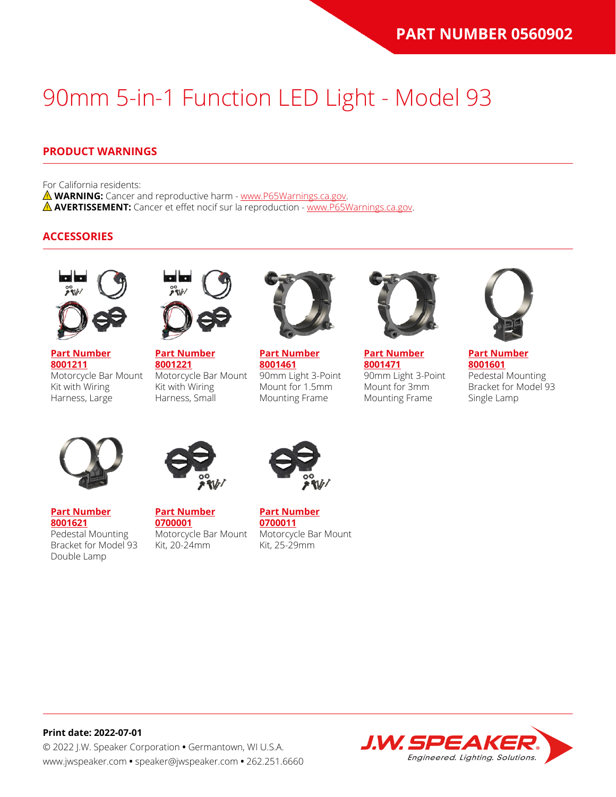### **PRODUCT WARNINGS**

For California residents:

**WARNING:** Cancer and reproductive harm - [www.P65Warnings.ca.gov](https://www.p65warnings.ca.gov/).

**AVERTISSEMENT:** Cancer et effet nocif sur la reproduction - [www.P65Warnings.ca.gov.](https://www.p65warnings.ca.gov/)

#### **ACCESSORIES**



**[Part Number](https://www.jwspeaker.com/products/90mm-headlights-model-93/8001211/) [8001211](https://www.jwspeaker.com/products/90mm-headlights-model-93/8001211/)**

Kit with Wiring Harness, Large



**[Part Number](https://www.jwspeaker.com/products/90mm-headlights-model-93/8001221/) [8001221](https://www.jwspeaker.com/products/90mm-headlights-model-93/8001221/)** Motorcycle Bar Mount Motorcycle Bar Mount Kit with Wiring Harness, Small



**[Part Number](https://www.jwspeaker.com/products/90mm-headlights-model-93/8001461/) [8001461](https://www.jwspeaker.com/products/90mm-headlights-model-93/8001461/)** 90mm Light 3-Point Mount for 1.5mm Mounting Frame



**[Part Number](https://www.jwspeaker.com/products/90mm-headlights-model-93/8001471/) [8001471](https://www.jwspeaker.com/products/90mm-headlights-model-93/8001471/)** 90mm Light 3-Point Mount for 3mm Mounting Frame



**[Part Number](https://www.jwspeaker.com/products/90mm-headlights-model-93/8001601/) [8001601](https://www.jwspeaker.com/products/90mm-headlights-model-93/8001601/)** Pedestal Mounting Bracket for Model 93 Single Lamp



**[Part Number](https://www.jwspeaker.com/products/90mm-headlights-model-93/8001621/) [8001621](https://www.jwspeaker.com/products/90mm-headlights-model-93/8001621/)** Pedestal Mounting Bracket for Model 93 Double Lamp



**[Part Number](https://www.jwspeaker.com/?post_type=part&p=26513&preview=true) [0700001](https://www.jwspeaker.com/?post_type=part&p=26513&preview=true)** Motorcycle Bar Mount Kit, 20-24mm



**[Part Number](https://www.jwspeaker.com/?post_type=part&p=26512&preview=true) [0700011](https://www.jwspeaker.com/?post_type=part&p=26512&preview=true)** Motorcycle Bar Mount Kit, 25-29mm



## **Print date: 2022-07-01**

© 2022 J.W. Speaker Corporation **•** Germantown, WI U.S.A. www.jwspeaker.com **•** speaker@jwspeaker.com **•** 262.251.6660